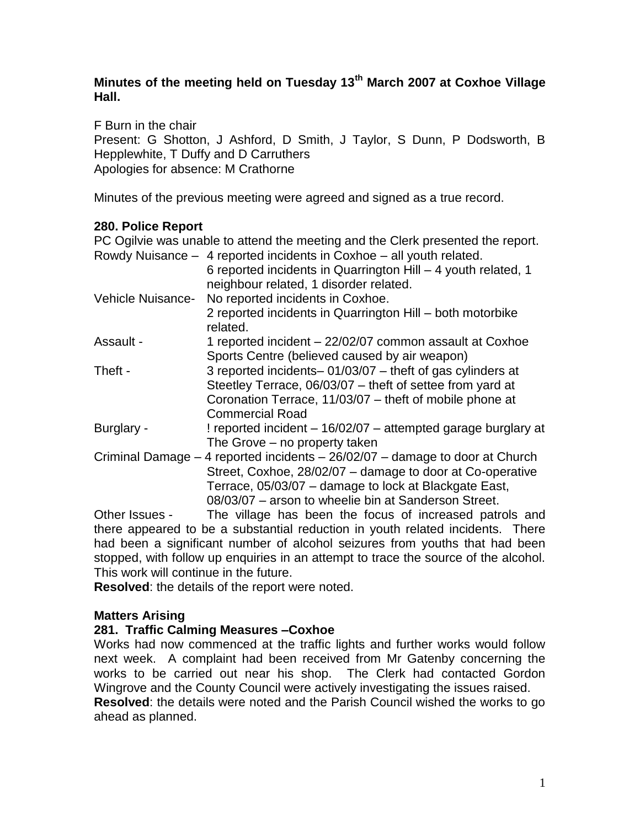# **Minutes of the meeting held on Tuesday 13th March 2007 at Coxhoe Village Hall.**

F Burn in the chair

Present: G Shotton, J Ashford, D Smith, J Taylor, S Dunn, P Dodsworth, B Hepplewhite, T Duffy and D Carruthers Apologies for absence: M Crathorne

Minutes of the previous meeting were agreed and signed as a true record.

# **280. Police Report**

PC Ogilvie was unable to attend the meeting and the Clerk presented the report. Rowdy Nuisance – 4 reported incidents in Coxhoe – all youth related.

|                   | 6 reported incidents in Quarrington Hill - 4 youth related, 1<br>neighbour related, 1 disorder related. |
|-------------------|---------------------------------------------------------------------------------------------------------|
| Vehicle Nuisance- | No reported incidents in Coxhoe.                                                                        |
|                   | 2 reported incidents in Quarrington Hill – both motorbike<br>related.                                   |
| Assault -         | 1 reported incident - 22/02/07 common assault at Coxhoe                                                 |
|                   | Sports Centre (believed caused by air weapon)                                                           |
| Theft -           | 3 reported incidents-01/03/07 - theft of gas cylinders at                                               |
|                   | Steetley Terrace, 06/03/07 - theft of settee from yard at                                               |
|                   | Coronation Terrace, 11/03/07 - theft of mobile phone at                                                 |
|                   | <b>Commercial Road</b>                                                                                  |
| Burglary -        | ! reported incident – 16/02/07 – attempted garage burglary at                                           |
|                   | The Grove – no property taken                                                                           |
|                   | Criminal Damage $-4$ reported incidents $-26/02/07$ – damage to door at Church                          |
|                   | Street, Coxhoe, 28/02/07 - damage to door at Co-operative                                               |
|                   | Terrace, 05/03/07 – damage to lock at Blackgate East,                                                   |
|                   | 08/03/07 – arson to wheelie bin at Sanderson Street.                                                    |

Other Issues - The village has been the focus of increased patrols and there appeared to be a substantial reduction in youth related incidents. There had been a significant number of alcohol seizures from youths that had been stopped, with follow up enquiries in an attempt to trace the source of the alcohol. This work will continue in the future.

**Resolved**: the details of the report were noted.

## **Matters Arising**

## **281. Traffic Calming Measures –Coxhoe**

Works had now commenced at the traffic lights and further works would follow next week. A complaint had been received from Mr Gatenby concerning the works to be carried out near his shop. The Clerk had contacted Gordon Wingrove and the County Council were actively investigating the issues raised. **Resolved**: the details were noted and the Parish Council wished the works to go ahead as planned.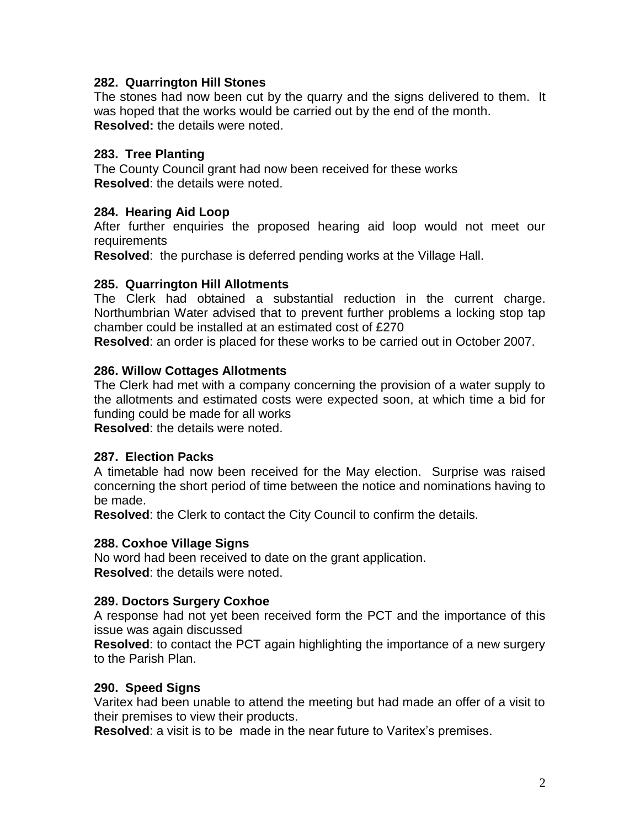### **282. Quarrington Hill Stones**

The stones had now been cut by the quarry and the signs delivered to them. It was hoped that the works would be carried out by the end of the month. **Resolved:** the details were noted.

### **283. Tree Planting**

The County Council grant had now been received for these works **Resolved**: the details were noted.

## **284. Hearing Aid Loop**

After further enquiries the proposed hearing aid loop would not meet our requirements

**Resolved**: the purchase is deferred pending works at the Village Hall.

## **285. Quarrington Hill Allotments**

The Clerk had obtained a substantial reduction in the current charge. Northumbrian Water advised that to prevent further problems a locking stop tap chamber could be installed at an estimated cost of £270

**Resolved**: an order is placed for these works to be carried out in October 2007.

## **286. Willow Cottages Allotments**

The Clerk had met with a company concerning the provision of a water supply to the allotments and estimated costs were expected soon, at which time a bid for funding could be made for all works

**Resolved**: the details were noted.

### **287. Election Packs**

A timetable had now been received for the May election. Surprise was raised concerning the short period of time between the notice and nominations having to be made.

**Resolved**: the Clerk to contact the City Council to confirm the details.

### **288. Coxhoe Village Signs**

No word had been received to date on the grant application. **Resolved**: the details were noted.

### **289. Doctors Surgery Coxhoe**

A response had not yet been received form the PCT and the importance of this issue was again discussed

**Resolved**: to contact the PCT again highlighting the importance of a new surgery to the Parish Plan.

### **290. Speed Signs**

Varitex had been unable to attend the meeting but had made an offer of a visit to their premises to view their products.

**Resolved**: a visit is to be made in the near future to Varitex's premises.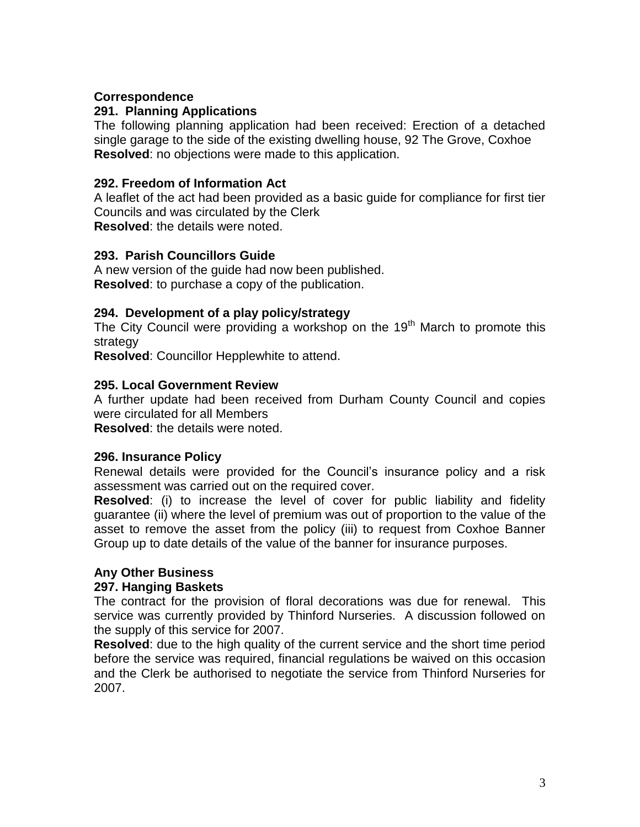### **Correspondence**

### **291. Planning Applications**

The following planning application had been received: Erection of a detached single garage to the side of the existing dwelling house, 92 The Grove, Coxhoe **Resolved**: no objections were made to this application.

## **292. Freedom of Information Act**

A leaflet of the act had been provided as a basic guide for compliance for first tier Councils and was circulated by the Clerk **Resolved**: the details were noted.

## **293. Parish Councillors Guide**

A new version of the guide had now been published. **Resolved**: to purchase a copy of the publication.

## **294. Development of a play policy/strategy**

The City Council were providing a workshop on the 19<sup>th</sup> March to promote this strategy

**Resolved**: Councillor Hepplewhite to attend.

## **295. Local Government Review**

A further update had been received from Durham County Council and copies were circulated for all Members

**Resolved**: the details were noted.

### **296. Insurance Policy**

Renewal details were provided for the Council's insurance policy and a risk assessment was carried out on the required cover.

**Resolved**: (i) to increase the level of cover for public liability and fidelity guarantee (ii) where the level of premium was out of proportion to the value of the asset to remove the asset from the policy (iii) to request from Coxhoe Banner Group up to date details of the value of the banner for insurance purposes.

## **Any Other Business**

### **297. Hanging Baskets**

The contract for the provision of floral decorations was due for renewal. This service was currently provided by Thinford Nurseries. A discussion followed on the supply of this service for 2007.

**Resolved**: due to the high quality of the current service and the short time period before the service was required, financial regulations be waived on this occasion and the Clerk be authorised to negotiate the service from Thinford Nurseries for 2007.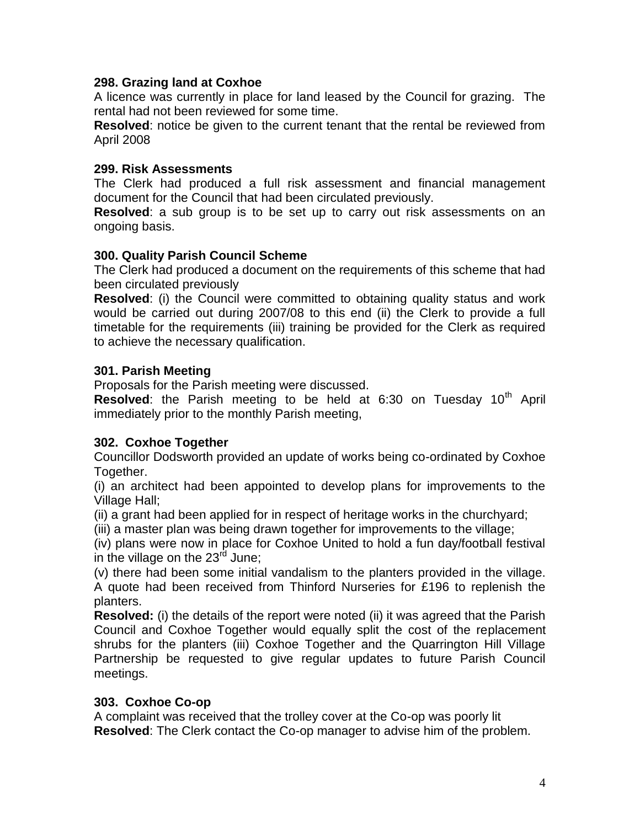### **298. Grazing land at Coxhoe**

A licence was currently in place for land leased by the Council for grazing. The rental had not been reviewed for some time.

**Resolved**: notice be given to the current tenant that the rental be reviewed from April 2008

## **299. Risk Assessments**

The Clerk had produced a full risk assessment and financial management document for the Council that had been circulated previously.

**Resolved**: a sub group is to be set up to carry out risk assessments on an ongoing basis.

## **300. Quality Parish Council Scheme**

The Clerk had produced a document on the requirements of this scheme that had been circulated previously

**Resolved**: (i) the Council were committed to obtaining quality status and work would be carried out during 2007/08 to this end (ii) the Clerk to provide a full timetable for the requirements (iii) training be provided for the Clerk as required to achieve the necessary qualification.

## **301. Parish Meeting**

Proposals for the Parish meeting were discussed.

**Resolved:** the Parish meeting to be held at 6:30 on Tuesday 10<sup>th</sup> April immediately prior to the monthly Parish meeting,

## **302. Coxhoe Together**

Councillor Dodsworth provided an update of works being co-ordinated by Coxhoe Together.

(i) an architect had been appointed to develop plans for improvements to the Village Hall;

(ii) a grant had been applied for in respect of heritage works in the churchyard;

(iii) a master plan was being drawn together for improvements to the village;

(iv) plans were now in place for Coxhoe United to hold a fun day/football festival in the village on the  $23<sup>rd</sup>$  June:

(v) there had been some initial vandalism to the planters provided in the village. A quote had been received from Thinford Nurseries for £196 to replenish the planters.

**Resolved:** (i) the details of the report were noted (ii) it was agreed that the Parish Council and Coxhoe Together would equally split the cost of the replacement shrubs for the planters (iii) Coxhoe Together and the Quarrington Hill Village Partnership be requested to give regular updates to future Parish Council meetings.

## **303. Coxhoe Co-op**

A complaint was received that the trolley cover at the Co-op was poorly lit **Resolved**: The Clerk contact the Co-op manager to advise him of the problem.